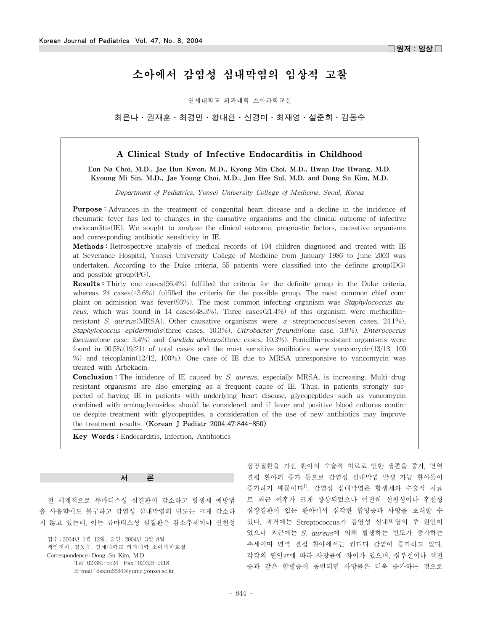# 소아에서 감염성 심내막염의 임상적 고찰

연세대학교 의과대학 소아과학교실

최은나·권재훈·최경민·황대환·신경미·최재영·설준희·김동수

# A Clinical Study of Infective Endocarditis in Childhood

Eun Na Choi, M.D., Jae Hun Kwon, M.D., Kyong Min Choi, M.D., Hwan Dae Hwang, M.D. Kyoung Mi Sin, M.D., Jae Young Choi, M.D., Jun Hee Sul, M.D. and Dong Su Kim, M.D.

*Department of Pediatrics, Yonsei University College of Medicine, Seoul, Korea*

Purpose : Advances in the treatment of congenital heart disease and a decline in the incidence of rheumatic fever has led to changes in the causative organisms and the clinical outcome of infective endocarditis(IE). We sought to analyze the clinical outcome, prognostic factors, causative organisms and corresponding antibiotic sensitivity in IE.

Methods: Retrospective analysis of medical records of 104 children diagnosed and treated with IE at Severance Hospital, Yonsei University College of Medicine from January 1986 to June 2003 was undertaken. According to the Duke criteria, 55 patients were classified into the definite group(DG) and possible group(PG).

Results : Thirty one cases(56.4%) fulfilled the criteria for the definite group in the Duke criteria, whereas 24 cases(43.6%) fulfilled the criteria for the possible group. The most common chief complaint on admission was fever(93%). The most common infecting organism was *Staphylococcus aureus*, which was found in 14 cases(48.3%). Three cases(21.4%) of this organism were methicillinresistant *S. aureus*(MRSA). Other causative organisms were α-streptococcus(seven cases, 24.1%), *Staphylococcus epidermidis*(three cases, 10.3%), *Citrobacter freundii*(one case, 3.8%), *Enterococcus faecium*(one case, 3.4%) and *Candida albicans*(three cases, 10.3%). Penicillin-resistant organisms were found in 90.5%(19/21) of total cases and the most sensitive antibiotics were vancomycin(13/13, 100 %) and teicoplanin(12/12, 100%). One case of IE due to MRSA unresponsive to vancomycin was treated with Arbekacin.

Conclusion : The incidence of IE caused by *S. aureus*, especially MRSA, is increasing. Multi-drug resistant organisms are also emerging as a frequent cause of IE. Thus, in patients strongly suspected of having IE in patients with underlying heart disease, glycopeptides such as vancomycin combined with aminoglycosides should be considered, and if fever and positive blood cultures continue despite treatment with glycopeptides, a consideration of the use of new antibiotics may improve the treatment results. (Korean J Pediatr 2004;47:844-850)

Key Words : Endocarditis, Infection, Antibiotics

#### 서 론

전 세계적으로 류마티스성 심질환이 감소하고 항생제 예방법 을 사용함에도 불구하고 감염성 심내막염의 빈도는 크게 감소하 지 않고 있는데, 이는 류마티스성 심질환은 감소추세이나 선천성

접수 : 2004년 1월 12일, 승인 : 2004년 3월 8일 책임저자 : 김동수, 연세대학교 의과대학 소아과학교실 Correspondence : Dong Su Kim, M.D. Tel : 02)361-5524 Fax : 02)393-9118

E-mail : dskim6634@yumc.yonsei.ac.kr

심장질환을 가진 환아의 수술적 치료로 인한 생존율 증가, 면역 결핍 환아의 증가 등으로 감염성 심내막염 발생 가능 환아들이 증가하기 때문이다1). 감염성 심내막염은 항생제와 수술적 치료 로 최근 예후가 크게 향상되었으나 여전히 선천성이나 후천성 심장질환이 있는 환아에서 심각한 합병증과 사망을 초래할 수 있다. 과거에는 Streptococcus가 감염성 심내막염의 주 원인이 었으나 최근에는 *S. aureus*에 의해 발생하는 빈도가 증가하는 추세이며 면역 결핍 환아에서는 칸디다 감염이 증가하고 있다. 각각의 원인균에 따라 사망률에 차이가 있으며, 심부전이나 색전 증과 같은 합병증이 동반되면 사망률은 더욱 증가하는 것으로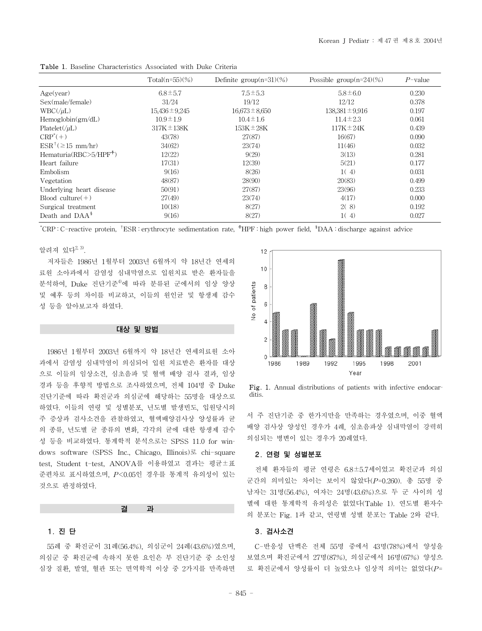|                                | Total $(n=55)(\%)$ | Definite group $(n=31)(\%)$ | Possible group $(n=24)(%$ | $P$ -value |
|--------------------------------|--------------------|-----------------------------|---------------------------|------------|
| Age(year)                      | $6.8 \pm 5.7$      | $7.5 \pm 5.3$               | $5.8 \pm 6.0$             | 0.230      |
| Sex(male/female)               | 31/24              | 19/12                       | 12/12                     | 0.378      |
| $WBC(\mu L)$                   | $15,436 \pm 9,245$ | $16,673 \pm 8,650$          | $138,381 \pm 9,916$       | 0.197      |
| Hemoglobin(gm/dL)              | $10.9 \pm 1.9$     | $10.4 \pm 1.6$              | $11.4 \pm 2.3$            | 0.061      |
| $Platelet(\muL)$               | $317K \pm 138K$    | $153K \pm 28K$              | $117K \pm 24K$            | 0.439      |
| $CRP^*(+)$                     | 43(78)             | 27(87)                      | 16(67)                    | 0.090      |
| $ESR^{\dagger}(\geq 15$ mm/hr) | 34(62)             | 23(74)                      | 11(46)                    | 0.032      |
| Hematuria $(RBC > 5/HPF^+)$    | 12(22)             | 9(29)                       | 3(13)                     | 0.281      |
| Heart failure                  | 17(31)             | 12(39)                      | 5(21)                     | 0.177      |
| Embolism                       | 9(16)              | 8(26)                       | 1(4)                      | 0.031      |
| Vegetation                     | 48(87)             | 28(90)                      | 20(83)                    | 0.499      |
| Underlying heart disease       | 50(91)             | 27(87)                      | 23(96)                    | 0.233      |
| Blood culture $(+)$            | 27(49)             | 23(74)                      | 4(17)                     | 0.000      |
| Surgical treatment             | 10(18)             | 8(27)                       | 2(8)                      | 0.192      |
| Death and $DAA^*$              | 9(16)              | 8(27)                       | 1(4)                      | 0.027      |

Table 1. Baseline Characteristics Associated with Duke Criteria

\* CRP : C-reactive protein, †ESR : erythrocyte sedimentation rate, ☨HPF : high power field, §DAA : discharge against advice

# 알려져 있다 $^{2, 3)}$ .

저자들은 1986년 1월부터 2003년 6월까지 약 18년간 연세의 료원 소아과에서 감염성 심내막염으로 입원치료 받은 환자들을 분석하여, Duke 진단기준4)에 따라 분류된 군에서의 임상 양상 및 예후 등의 차이를 비교하고, 이들의 원인균 및 항생제 감수 성 등을 알아보고자 하였다.

#### 대상 및 방법

1986년 1월부터 2003년 6월까지 약 18년간 연세의료원 소아 과에서 감염성 심내막염이 의심되어 입원 치료받은 환자를 대상 으로 이들의 임상소견, 심초음파 및 혈액 배양 검사 결과, 임상 경과 등을 후향적 방법으로 조사하였으며, 전체 104명 중 Duke 진단기준에 따라 확진군과 의심군에 해당하는 55명을 대상으로 하였다. 이들의 연령 및 성별분포, 년도별 발생빈도, 입원당시의 주 증상과 검사소견을 관찰하였고, 혈액배양검사상 양성률과 균 의 종류, 년도별 균 종류의 변화, 각각의 균에 대한 항생제 감수 성 등을 비교하였다. 통계학적 분석으로는 SPSS 11.0 for windows software (SPSS Inc., Chicago, Illinois)로 chi-square test, Student t-test, ANOVA를 이용하였고 결과는 평균±표 준편차로 표시하였으며, *P*<0.05인 경우를 통계적 유의성이 있는 것으로 판정하였다.

#### 결 과

## 1. 진 단

55례 중 확진군이 31례(56.4%), 의심군이 24례(43.6%)였으며, 의심군 중 확진군에 속하지 못한 요인은 부 진단기준 중 소인성 심장 질환, 발열, 혈관 또는 면역학적 이상 중 2가지를 만족하면



Fig. 1. Annual distributions of patients with infective endocarditis.

서 주 진단기준 중 한가지만을 만족하는 경우였으며, 이중 혈액 배양 검사상 양성인 경우가 4례, 심초음파상 심내막염이 강력히 의심되는 병변이 있는 경우가 20례였다.

#### 2. 연령 및 성별분포

전체 환자들의 평균 연령은 6.8±5.7세이었고 확진군과 의심 군간의 의미있는 차이는 보이지 않았다(*P*=0.260). 총 55명 중 남자는 31명(56.4%), 여자는 24명(43.6%)으로 두 군 사이의 성 별에 대한 통계학적 유의성은 없었다(Table 1). 연도별 환자수 의 분포는 Fig. 1과 같고, 연령별 성별 분포는 Table 2와 같다.

#### 3. 검사소견

C-반응성 단백은 전체 55명 중에서 43명(78%)에서 양성을 보였으며 확진군에서 27명(87%), 의심군에서 16명(67%) 양성으 로 확진군에서 양성률이 더 높았으나 임상적 의미는 없었다(*P*=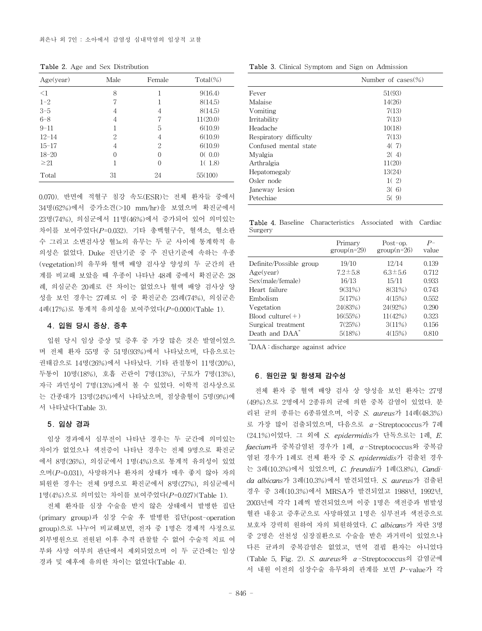Table 2. Age and Sex Distribution

| Age(year) | Male | Female   | $Total(\%)$ |
|-----------|------|----------|-------------|
| $\leq$ 1  | 8    |          | 9(16.4)     |
| $1 - 2$   |      | 1        | 8(14.5)     |
| $3 - 5$   | 4    | 4        | 8(14.5)     |
| $6 - 8$   | 4    | 7        | 11(20.0)    |
| $9 - 11$  |      | 5        | 6(10.9)     |
| $12 - 14$ | 2    | 4        | 6(10.9)     |
| $15 - 17$ | 4    | 2        | 6(10.9)     |
| $18 - 20$ | 0    | $\theta$ | 0(0.0)      |
| $\geq 21$ |      | 0        | 1(1.8)      |
| Total     | 31   | 24       | 55(100)     |

0.070). 반면에 적혈구 침강 속도(ESR)는 전체 환자들 중에서 34명(62%)에서 증가소견(>10 mm/hr)을 보였으며 확진군에서 23명(74%), 의심군에서 11명(46%)에서 증가되어 있어 의미있는 차이를 보여주었다(*P*=0.032). 기타 총백혈구수, 혈색소, 혈소판 수 그리고 소변검사상 혈뇨의 유무는 두 군 사이에 통계학적 유 의성은 없었다. Duke 진단기준 중 주 진단기준에 속하는 우종 (vegetation)의 유무와 혈액 배양 검사상 양성의 두 군간의 관 계를 비교해 보았을 때 우종이 나타난 48례 중에서 확진군은 28 례, 의심군은 20례로 큰 차이는 없었으나 혈액 배양 검사상 양 성을 보인 경우는 27례로 이 중 확진군은 23례(74%), 의심군은 4례(17%)로 통계적 유의성을 보여주었다(*P*=0.000)(Table 1).

### 4. 입원 당시 증상, 증후

입원 당시 임상 증상 및 증후 중 가장 많은 것은 발열이었으 며 전체 환자 55명 중 51명(93%)에서 나타났으며, 다음으로는 권태감으로 14명(26%)에서 나타났다. 기타 관절통이 11명(20%), 두통이 10명(18%), 호흡 곤란이 7명(13%), 구토가 7명(13%), 자극 과민성이 7명(13%)에서 볼 수 있었다. 이학적 검사상으로 는 간종대가 13명(24%)에서 나타났으며, 점상출혈이 5명(9%)에 서 나타났다(Table 3).

# 5. 임상 경과

임상 경과에서 심부전이 나타난 경우는 두 군간에 의미있는 차이가 없었으나 색전증이 나타난 경우는 전체 9명으로 확진군 에서 8명(26%), 의심군에서 1명(4%)으로 통계적 유의성이 있었 으며(*P*=0.031), 사망하거나 환자의 상태가 매우 좋지 않아 자의 퇴원한 경우는 전체 9명으로 확진군에서 8명(27%), 의심군에서 1명(4%)으로 의미있는 차이를 보여주었다(*P*=0.027)(Table 1).

전체 환자를 심장 수술을 받지 않은 상태에서 발병한 집단 (primary group)과 심장 수술 후 발병한 집단(post-operation group)으로 나누어 비교해보면, 전자 중 1명은 경제적 사정으로 외부병원으로 전원된 이후 추적 관찰할 수 없어 수술적 치료 여 부와 사망 여부의 판단에서 제외되었으며 이 두 군간에는 임상 경과 및 예후에 유의한 차이는 없었다(Table 4).

Table 3. Clinical Symptom and Sign on Admission

| Number of $cases (\%)$ |
|------------------------|
| 51(93)                 |
| 14(26)                 |
| 7(13)                  |
| 7(13)                  |
| 10(18)                 |
| 7(13)                  |
| 4(7)                   |
| 2(4)                   |
| 11(20)                 |
| 13(24)                 |
| 1(2)                   |
| 3(6)                   |
| 5(9)                   |
|                        |

Table 4. Baseline Characteristics Associated with Cardiac Surgery

|                            | Primary<br>$group(n=29)$ | Post-op.<br>$group(n=26)$ | $P-$<br>value |
|----------------------------|--------------------------|---------------------------|---------------|
| Definite/Possible group    | 19/10                    | 12/14                     | 0.139         |
| Age(year)                  | $7.2 \pm 5.8$            | $6.3 \pm 5.6$             | 0.712         |
| Sex(male/female)           | 16/13                    | 15/11                     | 0.933         |
| Heart failure              | 9(31%)                   | 8(31%)                    | 0.743         |
| Embolism                   | 5(17%)                   | 4(15%)                    | 0.552         |
| Vegetation                 | 24(83%)                  | 24(92%)                   | 0.290         |
| Blood culture $(+)$        | 16(55%)                  | 11(42%)                   | 0.323         |
| Surgical treatment         | 7(25%)                   | 3(11%)                    | 0.156         |
| Death and DAA <sup>*</sup> | 5(18%)                   | 4(15%)                    | 0.810         |

\* DAA : discharge against advice

#### 6. 원인균 및 항생제 감수성

전체 환자 중 혈액 배양 검사 상 양성을 보인 환자는 27명 (49%)으로 2명에서 2종류의 균에 의한 중복 감염이 있었다. 분 리된 균의 종류는 6종류였으며, 이중 *S. aureus*가 14례(48.3%) 로 가장 많이 검출되었으며, 다음으로 α-Streptococcus가 7례 (24.1%)이었다. 그 외에 *S. epidermidis*가 단독으로는 1례, *E. faecium*과 중복감염된 경우가 1례, α-Streptococcus와 중복감 염된 경우가 1례로 전체 환자 중 *S. epidermidis*가 검출된 경우 는 3례(10.3%)에서 있었으며, *C. freundii*가 1례(3.8%), *Candida albicans*가 3례(10.3%)에서 발견되었다. *S. aureus*가 검출된 경우 중 3례(10.3%)에서 MRSA가 발견되었고 1988년, 1992년, 2003년에 각각 1례씩 발견되었으며 이중 1명은 색전증과 범발성 혈관 내응고 증후군으로 사망하였고 1명은 심부전과 색전증으로 보호자 강력히 원하여 자의 퇴원하였다. *C. albicans*가 자란 3명 중 2명은 선천성 심장질환으로 수술을 받은 과거력이 있었으나 다른 균과의 중복감염은 없었고, 면역 결핍 환자는 아니었다 (Table 5, Fig. 2). *S. aureus*와 α-Streptococcus의 감염군에 서 내원 이전의 심장수술 유무와의 관계를 보면 *P*-value가 각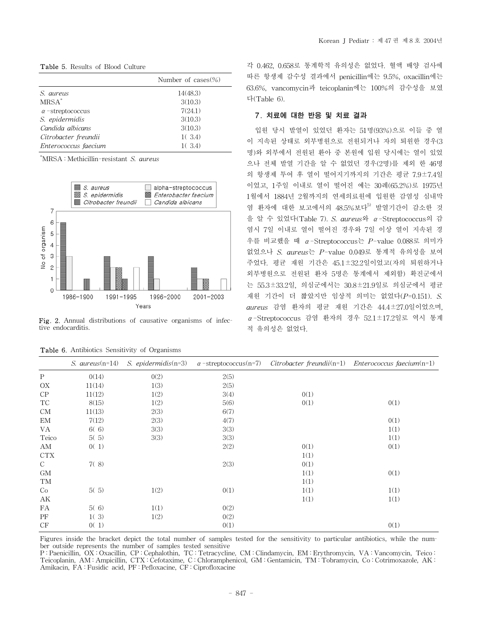Table 5. Results of Blood Culture

|                         | Number of $cases (\%)$ |
|-------------------------|------------------------|
| S. aureus               | 14(48.3)               |
| $MRSA^*$                | 3(10.3)                |
| $\alpha$ -streptococcus | 7(24.1)                |
| S. epidermidis          | 3(10.3)                |
| Candida albicans        | 3(10.3)                |
| Citrobacter freundii    | 1(3.4)                 |
| Enterococcus faecium    | 1(3.4)                 |

\* MRSA : Methicillin-resistant *S. aureus*



Fig. 2. Annual distributions of causative organisms of infective endocarditis.

|               | $S.$ aureus $(n=14)$ | $S.$ epidermidis $(n=3)$ | $\alpha$ -streptococcus(n=7) |      | $Citrobacter$ freundii(n=1) Enterococcus faecium(n=1) |
|---------------|----------------------|--------------------------|------------------------------|------|-------------------------------------------------------|
| $\mathbf{P}$  | 0(14)                | 0(2)                     | 2(5)                         |      |                                                       |
| OX            | 11(14)               | 1(3)                     | 2(5)                         |      |                                                       |
| ${\cal CP}$   | 11(12)               | 1(2)                     | 3(4)                         | 0(1) |                                                       |
| TC            | 8(15)                | 1(2)                     | 5(6)                         | 0(1) | 0(1)                                                  |
| <b>CM</b>     | 11(13)               | 2(3)                     | 6(7)                         |      |                                                       |
| EM            | 7(12)                | 2(3)                     | 4(7)                         |      | 0(1)                                                  |
| VA            | 6(6)                 | 3(3)                     | 3(3)                         |      | 1(1)                                                  |
| Teico         | 5(5)                 | 3(3)                     | 3(3)                         |      | 1(1)                                                  |
| ΑM            | 0(1)                 |                          | 2(2)                         | 0(1) | 0(1)                                                  |
| <b>CTX</b>    |                      |                          |                              | 1(1) |                                                       |
| $\mathcal{C}$ | 7(8)                 |                          | 2(3)                         | 0(1) |                                                       |
| GM            |                      |                          |                              | 1(1) | 0(1)                                                  |
| TM            |                      |                          |                              | 1(1) |                                                       |
| Co            | 5(5)                 | 1(2)                     | 0(1)                         | 1(1) | 1(1)                                                  |
| АK            |                      |                          |                              | 1(1) | 1(1)                                                  |
| FA            | 5(6)                 | 1(1)                     | 0(2)                         |      |                                                       |
| PF            | 1(3)                 | 1(2)                     | 0(2)                         |      |                                                       |
| CF            | 0(1)                 |                          | 0(1)                         |      | 0(1)                                                  |

|  | <b>Table 6.</b> Antibiotics Sensitivity of Organisms |  |  |  |
|--|------------------------------------------------------|--|--|--|
|--|------------------------------------------------------|--|--|--|

각 0.462, 0.658로 통계학적 유의성은 없었다. 혈액 배양 검사에 따른 항생제 감수성 결과에서 penicillin에는 9.5%, oxacillin에는 63.6%, vancomycin과 teicoplanin에는 100%의 감수성을 보였 다(Table 6).

# 7. 치료에 대한 반응 및 치료 결과

입원 당시 발열이 있었던 환자는 51명(93%)으로 이들 중 열 이 지속된 상태로 외부병원으로 전원되거나 자의 퇴원한 경우(3 명)와 외부에서 전원된 환아 중 본원에 입원 당시에는 열이 있었 으나 전체 발열 기간을 알 수 없었던 경우(2명)를 제외 한 46명 의 항생제 투여 후 열이 떨어지기까지의 기간은 평균 7.9±7.4일 이었고, 1주일 이내로 열이 떨어진 예는 30례(65.2%)로 1975년 1월에서 1884년 2월까지의 연세의료원에 입원한 감염성 심내막 염 환자에 대한 보고에서의 48.5%보다<sup>5)</sup> 발열기간이 감소한 것 을 알 수 있었다(Table 7). *S. aureus*와 α-Streptococcus의 감 염시 7일 이내로 열이 떨어진 경우와 7일 이상 열이 지속된 경 우를 비교했을 때 α-Streptococcus는 *P*-value 0.088로 의미가 없었으나 *S. aureus*는 *P*-value 0.049로 통계적 유의성을 보여 주었다. 평균 재원 기간은 45.1±32.2일이었고(자의 퇴원하거나 외부병원으로 전원된 환자 5명은 통계에서 제외함) 확진군에서 는 55.3±33.2일, 의심군에서는 30.8±21.9일로 의심군에서 평균 재원 기간이 더 짧았지만 임상적 의미는 없었다(*P*=0.151). *S. aureus* 감염 환자의 평균 재원 기간은 44.4±27.0일이었으며, α-Streptococcus 감염 환자의 경우 52.1±17.2일로 역시 통계 적 유의성은 없었다.

Figures inside the bracket depict the total number of samples tested for the sensitivity to particular antibiotics, while the number outside represents the number of samples tested sensitive

P : Paenicillin, OX : Oxacillin, CP : Cephalothin, TC : Tetracycline, CM : Clindamycin, EM : Erythromycin, VA : Vancomycin, Teico : Teicoplanin, AM : Ampicillin, CTX : Cefotaxime, C : Chloramphenicol, GM : Gentamicin, TM : Tobramycin, Co : Cotrimoxazole, AK : Amikacin, FA : Fusidic acid, PF : Pefloxacine, CF : Ciprofloxacine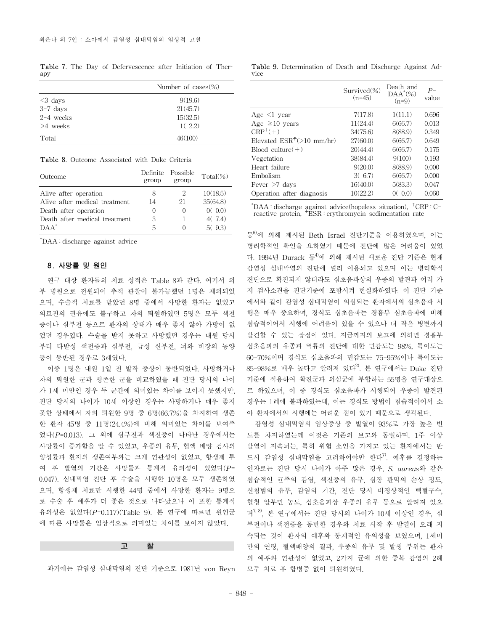Table 7. The Day of Defervescence after Initiation of Therapy

|             | Number of $cases (\%)$ |
|-------------|------------------------|
| $\leq$ days | 9(19.6)                |
| $3-7$ days  | 21(45.7)               |
| $2-4$ weeks | 15(32.5)               |
| $>4$ weeks  | 1(2.2)                 |
| Total       | 46(100)                |

Table 8. Outcome Associated with Duke Criteria

| Outcome                         | group            | Definite Possible<br>group | $Total(\%)$ |
|---------------------------------|------------------|----------------------------|-------------|
| Alive after operation           | 8                | 2                          | 10(18.5)    |
| Alive after medical treatment   | 14               | 21                         | 35(64.8)    |
| Death after operation           | $\left( \right)$ |                            | 0(0.0)      |
| Death after medical treatment   | 3                |                            | 4(7.4)      |
| $\overline{D}$ $\overline{A}^*$ | 5                |                            | 5(93)       |

\* DAA : discharge against advice

# 8. 사망률 및 원인

연구 대상 환자들의 치료 성적은 Table 8과 같다. 여기서 외 부 병원으로 전원되어 추적 관찰이 불가능했던 1명은 제외되었 으며, 수술적 치료를 받았던 8명 중에서 사망한 환자는 없었고 의료진의 권유에도 불구하고 자의 퇴원하였던 5명은 모두 색전 증이나 심부전 등으로 환자의 상태가 매우 좋지 않아 가망이 없 었던 경우였다. 수술을 받지 못하고 사망했던 경우는 내원 당시 부터 다발성 색전증과 심부전, 급성 신부전, 뇌와 비장의 농양 등이 동반된 경우로 3례였다.

이중 1명은 내원 1일 전 발작 증상이 동반되었다. 사망하거나 자의 퇴원한 군과 생존한 군을 비교하였을 때 진단 당시의 나이 가 1세 미만인 경우 두 군간에 의미있는 차이를 보이지 못했지만, 진단 당시의 나이가 10세 이상인 경우는 사망하거나 매우 좋지 못한 상태에서 자의 퇴원한 9명 중 6명(66.7%)을 차지하여 생존 한 환자 45명 중 11명(24.4%)에 비해 의미있는 차이를 보여주 었다(*P*=0.013). 그 외에 심부전과 색전증이 나타난 경우에서는 사망률이 증가함을 알 수 있었고, 우종의 유무, 혈액 배양 검사의 양성률과 환자의 생존여부와는 크게 연관성이 없었고, 항생제 투 여 후 발열의 기간은 사망률과 통계적 유의성이 있었다(*P*= 0.047). 심내막염 진단 후 수술을 시행한 10명은 모두 생존하였 으며, 항생제 치료만 시행한 44명 중에서 사망한 환자는 9명으 로 수술 후 예후가 더 좋은 것으로 나타났으나 이 또한 통계적 유의성은 없었다(*P*=0.117)(Table 9). 본 연구에 따르면 원인균 에 따른 사망률은 임상적으로 의미있는 차이를 보이지 않았다.

#### 고 찰

과거에는 감염성 심내막염의 진단 기준으로 1981년 von Reyn

Table 9. Determination of Death and Discharge Against Advice

|                             | Survived $(\%)$<br>$(n=45)$ | Death and<br>$\text{DAA}^*(\%)$<br>$(n=9)$ | $P-$<br>value |
|-----------------------------|-----------------------------|--------------------------------------------|---------------|
| Age $\leq 1$ year           | 7(17.8)                     | 1(11.1)                                    | 0.696         |
| Age $\geq 10$ vears         | 11(24.4)                    | 6(66.7)                                    | 0.013         |
| $CRP^+(+)$                  | 34(75.6)                    | 8(88.9)                                    | 0.349         |
| Elevated $ESR^+(>10~mm/hr)$ | 27(60.0)                    | 6(66.7)                                    | 0.649         |
| $Blood$ culture $(+)$       | 20(44.4)                    | 6(66.7)                                    | 0.175         |
| Vegetation                  | 38(84.4)                    | 9(100)                                     | 0.193         |
| Heart failure               | 9(20.0)                     | 8(88.9)                                    | 0.000         |
| Embolism                    | 3(6.7)                      | 6(66.7)                                    | 0.000         |
| Fever $>7$ days             | 16(40.0)                    | 5(83.3)                                    | 0.047         |
| Operation after diagnosis   | 10(22.2)                    | (0, 0.0)                                   | 0.060         |

\* DAA : discharge against advice(hopeless situation), †CRP : Creactive protein, <sup>†</sup>ESR : erythromycin sedimentation rate

등<sup>6)</sup>에 의해 제시된 Beth Israel 진단기준을 이용하였으며, 이는 병리학적인 확인을 요하였기 때문에 진단에 많은 어려움이 있었 다. 1994년 Durack 등<sup>4)</sup>에 의해 제시된 새로운 진단 기준은 현재 감염성 심내막염의 진단에 널리 이용되고 있으며 이는 병리학적 진단으로 확진되지 않더라도 심초음파상의 우종의 발견과 여러 가 지 검사소견을 진단기준에 포함시켜 현실화하였다. 이 진단 기준 에서와 같이 감염성 심내막염이 의심되는 환자에서의 심초음파 시 행은 매우 중요하며, 경식도 심초음파는 경흉부 심초음파에 비해 침습적이어서 시행에 어려움이 있을 수 있으나 더 작은 병변까지 발견할 수 있는 장점이 있다. 지금까지의 보고에 의하면 경흉부 심초음파의 우종과 역류의 진단에 대한 민감도는 98%, 특이도는 60-70%이며 경식도 심초음파의 민감도는 75-95%이나 특이도는  $85-98\%$ 로 매우 높다고 알려져 있다 $^{20}$ . 본 연구에서는 Duke 진단 기준에 적용하여 확진군과 의심군에 부합하는 55명을 연구대상으 로 하였으며, 이 중 경식도 심초음파가 시행되어 우종이 발견된 경우는 1례에 불과하였는데, 이는 경식도 방법이 침습적이어서 소 아 환자에서의 시행에는 어려운 점이 있기 때문으로 생각된다.

감염성 심내막염의 임상증상 중 발열이 93%로 가장 높은 빈 도를 차지하였는데 이것은 기존의 보고와 동일하며, 1주 이상 발열이 지속되는, 특히 위험 소인을 가지고 있는 환자에서는 반 드시 감염성 심내막염을 고려하여야만 한다<sup>7)</sup>. 예후를 결정하는 인자로는 진단 당시 나이가 아주 많은 경우, *S. aureus*와 같은 침습적인 균주의 감염, 색전증의 유무, 심장 판막의 손상 정도, 신침범의 유무, 감염의 기간, 진단 당시 비정상적인 백혈구수, 혈청 알부민 농도, 심초음파상 우종의 유무 등으로 알려져 있으 며 $^{7, 8}$ , 본 연구에서는 진단 당시의 나이가 10세 이상인 경우, 심 부전이나 색전증을 동반한 경우와 치료 시작 후 발열이 오래 지 속되는 것이 환자의 예후와 통계적인 유의성을 보였으며, 1세미 만의 연령, 혈액배양의 결과, 우종의 유무 및 발생 부위는 환자 의 예후와 연관성이 없었고, 2가지 균에 의한 중복 감염의 2례 모두 치료 후 합병증 없이 퇴원하였다.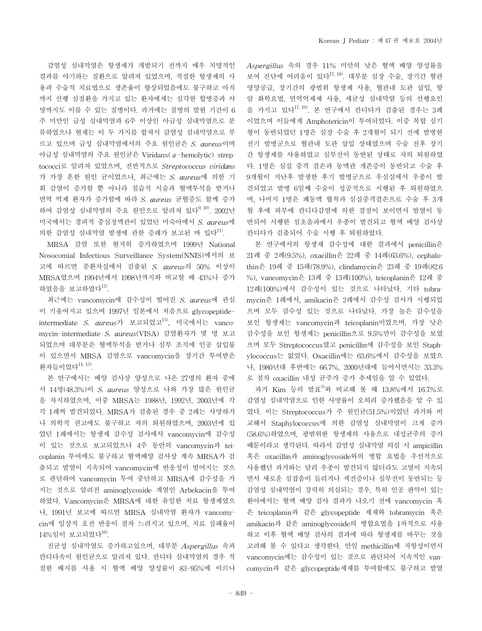감염성 심내막염은 항생제가 개발되기 전까지 매우 치명적인 결과를 야기하는 질환으로 알려져 있었으며, 적절한 항생제의 사 용과 수술적 치료법으로 생존율이 향상되었음에도 불구하고 아직 까지 선행 심질환을 가지고 있는 환자에게는 심각한 합병증과 사 망까지도 이를 수 있는 질병이다. 과거에는 질병의 발현 기간이 6 주 미만인 급성 심내막염과 6주 이상인 아급성 심내막염으로 분 류하였으나 현재는 이 두 가지를 합쳐서 감염성 심내막염으로 부 르고 있으며 급성 심내막염에서의 주요 원인균은 *S. aureus*이며 아급성 심내막염의 주요 원인균은 Viridans(α-hemolytic) streptococci로 알려져 있었으며, 전반적으로 *Streptococcus viridans* 가 가장 흔한 원인 균이었으나, 최근에는 *S. aureus*에 의한 기 회 감염이 증가할 뿐 아니라 침습적 시술과 혈액투석을 받거나 면역 억제 환자가 증가함에 따라 *S. aureus* 균혈증도 함께 증가 하여 감염성 심내막염의 주요 원인으로 알려져 있다<sup>9, 10)</sup>. 2002년 미국에서는 경피적 중심정맥관이 있었던 미숙아에서 *S. aureus*에 의한 감염성 심내막염 발생에 관한 증례가 보고된 바 있다11).

MRSA 감염 또한 현저히 증가하였으며 1999년 National Nosocomial Infectious Surveillance System(NNIS)에서의 보 고에 따르면 중환자실에서 검출된 *S. aureus*의 50% 이상이 MRSA였으며 1994년에서 1998년까지와 비교할 때 43%나 증가 하였음을 보고하였다 $^{12}$ .

최근에는 vancomycin에 감수성이 떨어진 *S. aureus*에 관심 이 기울여지고 있으며 1997년 일본에서 처음으로 glycopeptideintermediate *S. aureus*가 보고되었고13), 미국에서는 vancomycin-intermediate *S. aureus*(VISA) 감염환자가 몇 명 보고 되었으며 대부분은 혈액투석을 받거나 심부 조직에 인공 삽입물 이 있으면서 MRSA 감염으로 vancomycin을 장기간 투여받은 환자들이었다 $^{14, 15}$ .

본 연구에서는 배양 검사상 양성으로 나온 27명의 환자 중에 서 14명(48.3%)이 *S. aureus* 양성으로 나와 가장 많은 원인균 을 차지하였으며, 이중 MRSA는 1988년, 1992년, 2003년에 각 각 1례씩 발견되었다. MRSA가 검출된 경우 중 2례는 사망하거 나 의학적 권고에도 불구하고 자의 퇴원하였으며, 2003년에 있 었던 1례에서는 항생제 감수성 검사에서 vancomycin에 감수성 이 있는 것으로 보고되었으나 4주 동안의 vancomycin과 teicoplanin 투여에도 불구하고 혈액배양 검사상 계속 MRSA가 검 출되고 발열이 지속되어 vancomycin에 반응성이 떨어지는 것으 로 판단하여 vancomycin 투여 중단하고 MRSA에 감수성을 가 지는 것으로 알려진 aminoglycoside 계열인 Arbekacin을 투여 하였다. Vancomycin은 MRSA에 대한 유일한 치료 항생제였으 나, 1991년 보고에 따르면 MRSA 심내막염 환자가 vancomycin에 임상적 호전 반응이 점차 느려지고 있으며, 치료 실패율이  $14\%$ 임이 보고되었다 $^{16}$ .

진균성 심내막염도 증가하고있으며, 대부분 *Aspergillus* 속과 칸디다속이 원인균으로 알려져 있다. 칸디다 심내막염의 경우 적 절한 배지를 사용 시 혈액 배양 양성률이 83-95%에 이르나 *Aspergillus* 속의 경우 11% 미만의 낮은 혈액 배양 양성률을 보여 진단에 어려움이 있다<sup>17, 18</sup>. 대부분 심장 수술, 장기간 혈관 영양공급, 장기간의 광범위 항생제 사용, 혈관내 도관 삽입, 항 암 화학요법, 면역억제제 사용, 세균성 심내막염 등의 선행요인 을 가지고 있다<sup>17, 19</sup>. 본 연구에서 칸디다가 검출된 경우는 3례 이었으며 이들에게 Amphotericin이 투여되었다. 이중 복합 심기 형이 동반되었던 1명은 심장 수술 후 2개월이 되기 전에 발병한 전기 발병군으로 혈관내 도관 삽입 상태였으며 수술 전후 장기 간 항생제를 사용하였고 심부전이 동반된 상태로 자의 퇴원하였 다. 1명은 심실 중격 결손과 동맥관 개존증이 동반되고 수술 후 9개월이 지난후 발생한 후기 발병군으로 우심실에서 우종이 발 견되었고 발병 6일째 수술이 성공적으로 시행된 후 퇴원하였으 며, 나머지 1명은 폐동맥 협착과 심실중격결손으로 수술 후 3개 월 후에 피부에 칸디다감염에 의한 결절이 보이면서 발열이 동 반되어 시행한 심초음파에서 우종이 발견되고 혈액 배양 검사상 칸디다가 검출되어 수술 시행 후 퇴원하였다.

본 연구에서의 항생제 감수성에 대한 결과에서 penicillin은 21례 중 2례(9.5%), oxacillin은 22례 중 14례(63.6%), cephalothin은 19례 중 15례(78.9%), clindamycin은 23례 중 19례(82.6 %), vancomycin은 13례 중 13례(100%), teicoplanin은 12례 중 12례(100%)에서 감수성이 있는 것으로 나타났다. 기타 tobramycin은 1례에서, amikacin은 2례에서 감수성 검사가 시행되었 으며 모두 감수성 있는 것으로 나타났다. 가장 높은 감수성을 보인 항생제는 vancomycin과 teicoplanin이었으며, 가장 낮은 감수성을 보인 항생제는 penicillin으로 9.5%만이 감수성을 보였 으며 모두 Streptococcus였고 penicillin에 감수성을 보인 Staphylococcus는 없었다. Oxacillin에는 63.6%에서 감수성을 보였으 나, 1980년대 후반에는 66.7%, 2000년대에 들어서면서는 33.3% 로 점차 oxacillin 내성 균주가 증가 추세임을 알 수 있었다.

과거 Kim 등의 발표<sup>5)</sup>와 비교해 볼 때 13.8%에서 16.7%로 감염성 심내막염으로 인한 사망률이 오히려 증가했음을 알 수 있 었다. 이는 Streptococcus가 주 원인균(51.5%)이었던 과거와 비 교해서 Staphylococcus에 의한 감염성 심내막염이 크게 증가 (58.6%)하였으며, 광범위한 항생제의 사용으로 내성균주의 증가 때문이라고 생각된다. 따라서 감염성 심내막염 의심 시 ampicillin 혹은 oxacillin과 aminoglycoside와의 병합 요법을 우선적으로 사용했던 과거와는 달리 우종이 발견되지 않더라도 고열이 지속되 면서 새로운 심잡음이 들리거나 색전증이나 심부전이 동반되는 등 감염성 심내막염이 강력히 의심되는 경우, 특히 인공 판막이 있는 환아에서는 혈액 배양 검사 결과가 나오기 전에 vancomycin 혹 은 teicoplanin과 같은 glycopeptide 제재와 tobramycin 혹은 amikacin과 같은 aminoglycoside의 병합요법을 1차적으로 사용 하고 이후 혈액 배양 검사의 결과에 따라 항생제를 바꾸는 것을 고려해 볼 수 있다고 생각한다. 만일 methicillin에 저항성이면서 vancomycin에는 감수성이 있는 것으로 판단되어 지속적인 vancomycin과 같은 glycopeptide제재를 투여함에도 불구하고 발열